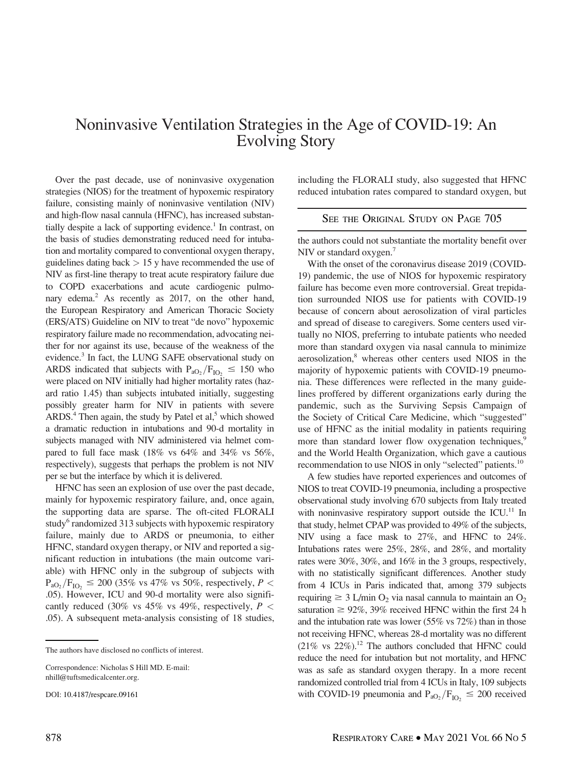## Noninvasive Ventilation Strategies in the Age of COVID-19: An Evolving Story

Over the past decade, use of noninvasive oxygenation strategies (NIOS) for the treatment of hypoxemic respiratory failure, consisting mainly of noninvasive ventilation (NIV) and high-flow nasal cannula (HFNC), has increased substantially despite a lack of supporting evidence.<sup>1</sup> In contrast, on the basis of studies demonstrating reduced need for intubation and mortality compared to conventional oxygen therapy, guidelines dating back  $> 15$  y have recommended the use of NIV as first-line therapy to treat acute respiratory failure due to COPD exacerbations and acute cardiogenic pulmonary edema.<sup>2</sup> As recently as 2017, on the other hand, the European Respiratory and American Thoracic Society (ERS/ATS) Guideline on NIV to treat "de novo" hypoxemic respiratory failure made no recommendation, advocating neither for nor against its use, because of the weakness of the evidence.3 In fact, the LUNG SAFE observational study on ARDS indicated that subjects with  $P_{aO_2}/F_{IO_2} \le 150$  who were placed on NIV initially had higher mortality rates (hazard ratio 1.45) than subjects intubated initially, suggesting possibly greater harm for NIV in patients with severe ARDS. $4$  Then again, the study by Patel et al, $5$  which showed a dramatic reduction in intubations and 90-d mortality in subjects managed with NIV administered via helmet compared to full face mask (18% vs 64% and 34% vs 56%, respectively), suggests that perhaps the problem is not NIV per se but the interface by which it is delivered.

HFNC has seen an explosion of use over the past decade, mainly for hypoxemic respiratory failure, and, once again, the supporting data are sparse. The oft-cited FLORALI study<sup>6</sup> randomized 313 subjects with hypoxemic respiratory failure, mainly due to ARDS or pneumonia, to either HFNC, standard oxygen therapy, or NIV and reported a significant reduction in intubations (the main outcome variable) with HFNC only in the subgroup of subjects with  $P_{aO_2}/F_{IO_2} \le 200$  (35% vs 47% vs 50%, respectively, P < .05). However, ICU and 90-d mortality were also significantly reduced (30% vs 45% vs 49%, respectively,  $P \nless$ .05). A subsequent meta-analysis consisting of 18 studies, including the FLORALI study, also suggested that HFNC reduced intubation rates compared to standard oxygen, but

## SEE THE ORIGINAL STUDY ON PAGE 705

the authors could not substantiate the mortality benefit over NIV or standard oxygen.<sup>7</sup>

With the onset of the coronavirus disease 2019 (COVID-19) pandemic, the use of NIOS for hypoxemic respiratory failure has become even more controversial. Great trepidation surrounded NIOS use for patients with COVID-19 because of concern about aerosolization of viral particles and spread of disease to caregivers. Some centers used virtually no NIOS, preferring to intubate patients who needed more than standard oxygen via nasal cannula to minimize aerosolization,<sup>8</sup> whereas other centers used NIOS in the majority of hypoxemic patients with COVID-19 pneumonia. These differences were reflected in the many guidelines proffered by different organizations early during the pandemic, such as the Surviving Sepsis Campaign of the Society of Critical Care Medicine, which "suggested" use of HFNC as the initial modality in patients requiring more than standard lower flow oxygenation techniques,<sup>9</sup> and the World Health Organization, which gave a cautious recommendation to use NIOS in only "selected" patients.<sup>10</sup>

A few studies have reported experiences and outcomes of NIOS to treat COVID-19 pneumonia, including a prospective observational study involving 670 subjects from Italy treated with noninvasive respiratory support outside the ICU.<sup>11</sup> In that study, helmet CPAP was provided to 49% of the subjects, NIV using a face mask to 27%, and HFNC to 24%. Intubations rates were 25%, 28%, and 28%, and mortality rates were 30%, 30%, and 16% in the 3 groups, respectively, with no statistically significant differences. Another study from 4 ICUs in Paris indicated that, among 379 subjects requiring  $\geq 3$  L/min O<sub>2</sub> via nasal cannula to maintain an O<sub>2</sub> saturation  $\geq 92\%$ , 39% received HFNC within the first 24 h and the intubation rate was lower (55% vs 72%) than in those not receiving HFNC, whereas 28-d mortality was no different  $(21\% \text{ vs } 22\%).$ <sup>12</sup> The authors concluded that HFNC could reduce the need for intubation but not mortality, and HFNC was as safe as standard oxygen therapy. In a more recent randomized controlled trial from 4 ICUs in Italy, 109 subjects with COVID-19 pneumonia and  $P_{aO_2}/F_{IO_2} \le 200$  received

The authors have disclosed no conflicts of interest.

Correspondence: Nicholas S Hill MD. E-mail: [nhill@tuftsmedicalcenter.org.](mailto:nhill@tuftsmedicalcenter.org)

DOI: 10.4187/respcare.09161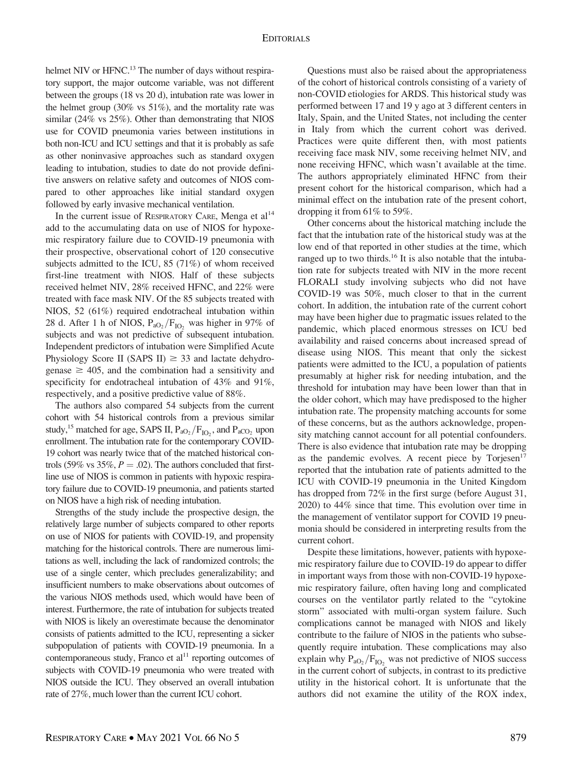helmet NIV or HFNC.<sup>13</sup> The number of days without respiratory support, the major outcome variable, was not different between the groups (18 vs 20 d), intubation rate was lower in the helmet group  $(30\% \text{ vs } 51\%)$ , and the mortality rate was similar (24% vs 25%). Other than demonstrating that NIOS use for COVID pneumonia varies between institutions in both non-ICU and ICU settings and that it is probably as safe as other noninvasive approaches such as standard oxygen leading to intubation, studies to date do not provide definitive answers on relative safety and outcomes of NIOS compared to other approaches like initial standard oxygen followed by early invasive mechanical ventilation.

In the current issue of RESPIRATORY CARE, Menga et  $al<sup>14</sup>$ add to the accumulating data on use of NIOS for hypoxemic respiratory failure due to COVID-19 pneumonia with their prospective, observational cohort of 120 consecutive subjects admitted to the ICU, 85 (71%) of whom received first-line treatment with NIOS. Half of these subjects received helmet NIV, 28% received HFNC, and 22% were treated with face mask NIV. Of the 85 subjects treated with NIOS, 52 (61%) required endotracheal intubation within 28 d. After 1 h of NIOS,  $P_{aO_2}/F_{IO_2}$  was higher in 97% of subjects and was not predictive of subsequent intubation. Independent predictors of intubation were Simplified Acute Physiology Score II (SAPS II)  $\geq$  33 and lactate dehydrogenase  $\geq 405$ , and the combination had a sensitivity and specificity for endotracheal intubation of 43% and 91%, respectively, and a positive predictive value of 88%.

The authors also compared 54 subjects from the current cohort with 54 historical controls from a previous similar study,  $^{15}$  matched for age, SAPS II,  $P_{aO_2}/F_{IO_2}$ , and  $P_{aCO_2}$  upon enrollment. The intubation rate for the contemporary COVID-19 cohort was nearly twice that of the matched historical controls (59% vs 35%,  $P = .02$ ). The authors concluded that firstline use of NIOS is common in patients with hypoxic respiratory failure due to COVID-19 pneumonia, and patients started on NIOS have a high risk of needing intubation.

Strengths of the study include the prospective design, the relatively large number of subjects compared to other reports on use of NIOS for patients with COVID-19, and propensity matching for the historical controls. There are numerous limitations as well, including the lack of randomized controls; the use of a single center, which precludes generalizability; and insufficient numbers to make observations about outcomes of the various NIOS methods used, which would have been of interest. Furthermore, the rate of intubation for subjects treated with NIOS is likely an overestimate because the denominator consists of patients admitted to the ICU, representing a sicker subpopulation of patients with COVID-19 pneumonia. In a contemporaneous study, Franco et  $al<sup>11</sup>$  reporting outcomes of subjects with COVID-19 pneumonia who were treated with NIOS outside the ICU. They observed an overall intubation rate of 27%, much lower than the current ICU cohort.

Questions must also be raised about the appropriateness of the cohort of historical controls consisting of a variety of non-COVID etiologies for ARDS. This historical study was performed between 17 and 19 y ago at 3 different centers in Italy, Spain, and the United States, not including the center in Italy from which the current cohort was derived. Practices were quite different then, with most patients receiving face mask NIV, some receiving helmet NIV, and none receiving HFNC, which wasn't available at the time. The authors appropriately eliminated HFNC from their present cohort for the historical comparison, which had a minimal effect on the intubation rate of the present cohort, dropping it from 61% to 59%.

Other concerns about the historical matching include the fact that the intubation rate of the historical study was at the low end of that reported in other studies at the time, which ranged up to two thirds.<sup>16</sup> It is also notable that the intubation rate for subjects treated with NIV in the more recent FLORALI study involving subjects who did not have COVID-19 was 50%, much closer to that in the current cohort. In addition, the intubation rate of the current cohort may have been higher due to pragmatic issues related to the pandemic, which placed enormous stresses on ICU bed availability and raised concerns about increased spread of disease using NIOS. This meant that only the sickest patients were admitted to the ICU, a population of patients presumably at higher risk for needing intubation, and the threshold for intubation may have been lower than that in the older cohort, which may have predisposed to the higher intubation rate. The propensity matching accounts for some of these concerns, but as the authors acknowledge, propensity matching cannot account for all potential confounders. There is also evidence that intubation rate may be dropping as the pandemic evolves. A recent piece by  $T$ orjesen $17$ reported that the intubation rate of patients admitted to the ICU with COVID-19 pneumonia in the United Kingdom has dropped from 72% in the first surge (before August 31, 2020) to 44% since that time. This evolution over time in the management of ventilator support for COVID 19 pneumonia should be considered in interpreting results from the current cohort.

Despite these limitations, however, patients with hypoxemic respiratory failure due to COVID-19 do appear to differ in important ways from those with non-COVID-19 hypoxemic respiratory failure, often having long and complicated courses on the ventilator partly related to the "cytokine storm" associated with multi-organ system failure. Such complications cannot be managed with NIOS and likely contribute to the failure of NIOS in the patients who subsequently require intubation. These complications may also explain why  $P_{aO_2}/F_{IO_2}$  was not predictive of NIOS success in the current cohort of subjects, in contrast to its predictive utility in the historical cohort. It is unfortunate that the authors did not examine the utility of the ROX index,